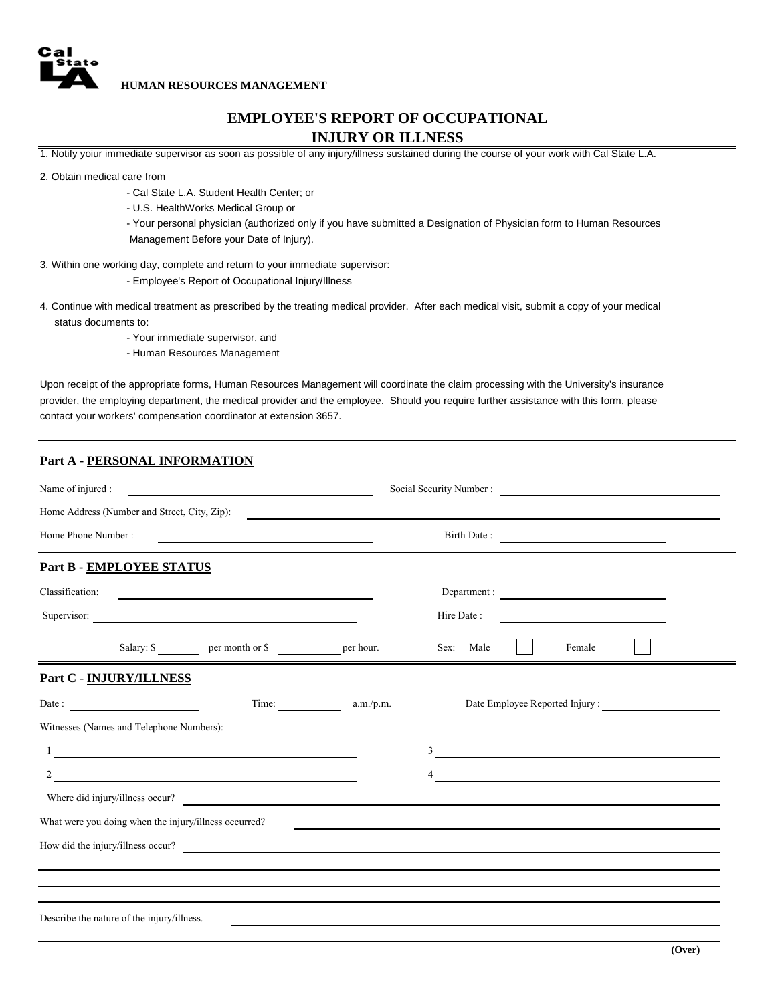

**HUMAN RESOURCES MANAGEMENT**

## **EMPLOYEE'S REPORT OF OCCUPATIONAL INJURY OR ILLNESS**

1. Notify yoiur immediate supervisor as soon as possible of any injury/illness sustained during the course of your work with Cal State L.A.

2. Obtain medical care from

- Cal State L.A. Student Health Center; or
- U.S. HealthWorks Medical Group or
- Management Before your Date of Injury). - Your personal physician (authorized only if you have submitted a Designation of Physician form to Human Resources
- 3. Within one working day, complete and return to your immediate supervisor:
	- Employee's Report of Occupational Injury/Illness
- status documents to: 4. Continue with medical treatment as prescribed by the treating medical provider. After each medical visit, submit a copy of your medical
	- Your immediate supervisor, and
	- Human Resources Management

contact your workers' compensation coordinator at extension 3657. provider, the employing department, the medical provider and the employee. Should you require further assistance with this form, please Upon receipt of the appropriate forms, Human Resources Management will coordinate the claim processing with the University's insurance

## **Part A - PERSONAL INFORMATION**

| Name of injured :<br><u> 1989 - John Stein, mars and de Brazilian (b. 1989)</u> |                                              |                                                                                                                       |                   | Social Security Number :                                        |  |        |                                                                                                                      |  |
|---------------------------------------------------------------------------------|----------------------------------------------|-----------------------------------------------------------------------------------------------------------------------|-------------------|-----------------------------------------------------------------|--|--------|----------------------------------------------------------------------------------------------------------------------|--|
|                                                                                 | Home Address (Number and Street, City, Zip): |                                                                                                                       |                   |                                                                 |  |        |                                                                                                                      |  |
| Home Phone Number:<br><u> 1989 - Andrea Andrew Maria (h. 1989).</u>             |                                              |                                                                                                                       |                   | Birth Date:                                                     |  |        |                                                                                                                      |  |
|                                                                                 | Part B - EMPLOYEE STATUS                     |                                                                                                                       |                   |                                                                 |  |        |                                                                                                                      |  |
| Classification:                                                                 |                                              | <u> 1989 - John Harry Harry Harry Harry Harry Harry Harry Harry Harry Harry Harry Harry Harry Harry Harry Harry H</u> |                   | Department :                                                    |  |        |                                                                                                                      |  |
|                                                                                 |                                              | Supervisor:                                                                                                           |                   | Hire Date:                                                      |  |        |                                                                                                                      |  |
|                                                                                 |                                              |                                                                                                                       |                   | Sex: Male                                                       |  | Female |                                                                                                                      |  |
|                                                                                 | Part C - INJURY/ILLNESS                      |                                                                                                                       |                   |                                                                 |  |        |                                                                                                                      |  |
|                                                                                 | Date:                                        |                                                                                                                       | Time: $a.m./p.m.$ |                                                                 |  |        | Date Employee Reported Injury :                                                                                      |  |
|                                                                                 | Witnesses (Names and Telephone Numbers):     |                                                                                                                       |                   |                                                                 |  |        |                                                                                                                      |  |
|                                                                                 |                                              | <u> 1980 - Johann Barn, mars ann an t-Amhain Aonaich an t-Aonaich an t-Aonaich an t-Aonaich an t-Aonaich an t-Aon</u> |                   | <u> 1989 - Andrea Stadt Britain, marwolaeth a bhliain 1980.</u> |  |        |                                                                                                                      |  |
| 2                                                                               |                                              | <u> 1989 - Johann Stoff, fransk politik (d. 1989)</u>                                                                 |                   | 4                                                               |  |        | <u> 1989 - Johann John Stone, markin film yn y brening yn y brening yn y brening yn y brening y brening yn y bre</u> |  |
|                                                                                 |                                              | Where did injury/illness occur?                                                                                       |                   |                                                                 |  |        |                                                                                                                      |  |
|                                                                                 |                                              | What were you doing when the injury/illness occurred?                                                                 |                   |                                                                 |  |        |                                                                                                                      |  |
|                                                                                 |                                              | How did the injury/illness occur?                                                                                     |                   |                                                                 |  |        |                                                                                                                      |  |
|                                                                                 |                                              |                                                                                                                       |                   |                                                                 |  |        |                                                                                                                      |  |
|                                                                                 | Describe the nature of the injury/illness.   |                                                                                                                       |                   |                                                                 |  |        |                                                                                                                      |  |